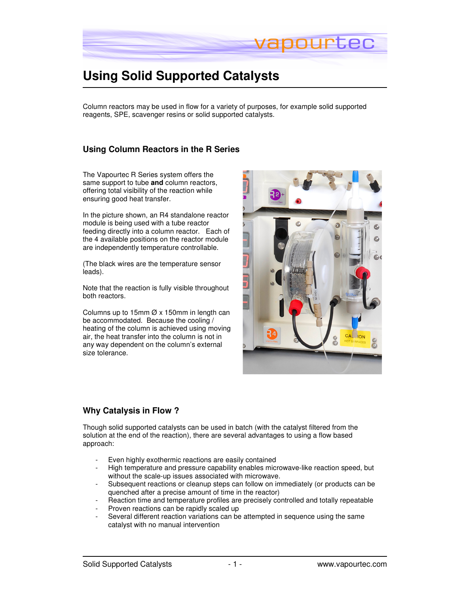

# **Using Solid Supported Catalysts**

Column reactors may be used in flow for a variety of purposes, for example solid supported reagents, SPE, scavenger resins or solid supported catalysts.

#### **Using Column Reactors in the R Series**

The Vapourtec R Series system offers the same support to tube **and** column reactors, offering total visibility of the reaction while ensuring good heat transfer.

In the picture shown, an R4 standalone reactor module is being used with a tube reactor feeding directly into a column reactor. Each of the 4 available positions on the reactor module are independently temperature controllable.

(The black wires are the temperature sensor leads).

Note that the reaction is fully visible throughout both reactors.

Columns up to 15mm  $\varnothing$  x 150mm in length can be accommodated. Because the cooling / heating of the column is achieved using moving air, the heat transfer into the column is not in any way dependent on the column's external size tolerance.



#### **Why Catalysis in FIow ?**

Though solid supported catalysts can be used in batch (with the catalyst filtered from the solution at the end of the reaction), there are several advantages to using a flow based approach:

- Even highly exothermic reactions are easily contained
- High temperature and pressure capability enables microwave-like reaction speed, but without the scale-up issues associated with microwave.
- Subsequent reactions or cleanup steps can follow on immediately (or products can be quenched after a precise amount of time in the reactor)
- Reaction time and temperature profiles are precisely controlled and totally repeatable
- Proven reactions can be rapidly scaled up
- Several different reaction variations can be attempted in sequence using the same catalyst with no manual intervention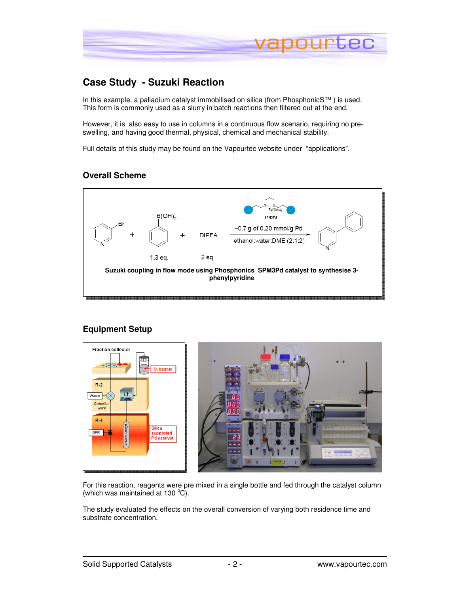

## **Case Study - Suzuki Reaction**

In this example, a palladium catalyst immobilised on silica (from PhosphonicS™ ) is used. This form is commonly used as a slurry in batch reactions then filtered out at the end.

However, it is also easy to use in columns in a continuous flow scenario, requiring no preswelling, and having good thermal, physical, chemical and mechanical stability.

Full details of this study may be found on the Vapourtec website under "applications".

#### **Overall Scheme**



#### **Equipment Setup**



For this reaction, reagents were pre mixed in a single bottle and fed through the catalyst column (which was maintained at 130 $^{\circ}$ C).

The study evaluated the effects on the overall conversion of varying both residence time and substrate concentration.